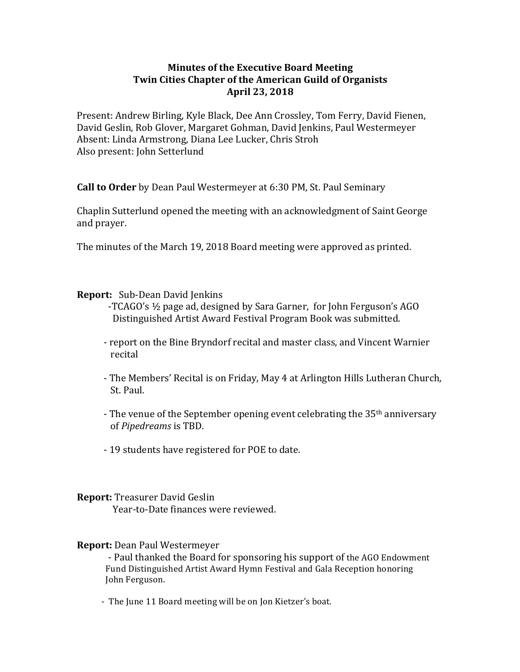## **Minutes of the Executive Board Meeting Twin Cities Chapter of the American Guild of Organists April 23, 2018**

Present: Andrew Birling, Kyle Black, Dee Ann Crossley, Tom Ferry, David Fienen, David Geslin, Rob Glover, Margaret Gohman, David Jenkins, Paul Westermeyer Absent: Linda Armstrong, Diana Lee Lucker, Chris Stroh Also present: John Setterlund

**Call to Order** by Dean Paul Westermeyer at 6:30 PM, St. Paul Seminary

Chaplin Sutterlund opened the meeting with an acknowledgment of Saint George and prayer.

The minutes of the March 19, 2018 Board meeting were approved as printed.

**Report:** Sub-Dean David Jenkins

- -TCAGO's  $\frac{1}{2}$  page ad, designed by Sara Garner, for John Ferguson's AGO Distinguished Artist Award Festival Program Book was submitted.
- report on the Bine Bryndorf recital and master class, and Vincent Warnier recital
- The Members' Recital is on Friday, May 4 at Arlington Hills Lutheran Church, St. Paul.
- The venue of the September opening event celebrating the  $35<sup>th</sup>$  anniversary of *Pipedreams* is TBD.
- 19 students have registered for POE to date.

**Report:** Treasurer David Geslin Year-to-Date finances were reviewed.

**Report:** Dean Paul Westermeyer

- Paul thanked the Board for sponsoring his support of the AGO Endowment Fund Distinguished Artist Award Hymn Festival and Gala Reception honoring John Ferguson.

- The June 11 Board meeting will be on Jon Kietzer's boat.